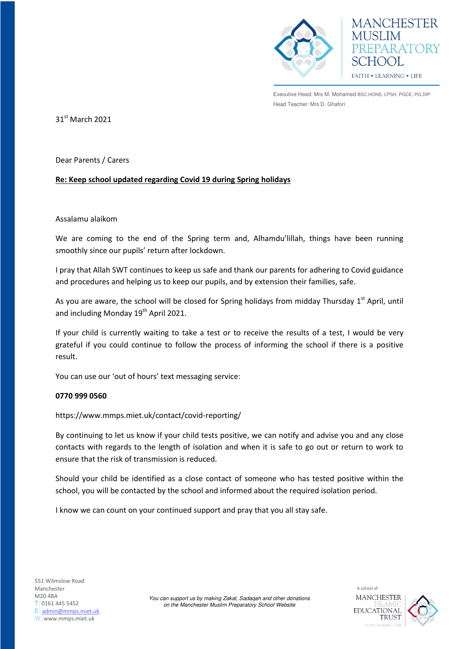

Executive Head: Mrs M. Mohamed BSC.HONS, LPSH, PGCE, PG.DIP Head Teacher: Mrs D. Ghafori

**MANCHESTER** 

**REPARATORY** 

**HOOL** FAITH . LEARNING . LIFE

31st March 2021

Dear Parents / Carers

## **Re: Keep school updated regarding Covid 19 during Spring holidays**

## Assalamu alaikom

We are coming to the end of the Spring term and, Alhamdu'lillah, things have been running smoothly since our pupils' return after lockdown.

I pray that Allah SWT continues to keep us safe and thank our parents for adhering to Covid guidance and procedures and helping us to keep our pupils, and by extension their families, safe.

As you are aware, the school will be closed for Spring holidays from midday Thursday  $1<sup>st</sup>$  April, until and including Monday 19<sup>th</sup> April 2021.

If your child is currently waiting to take a test or to receive the results of a test, I would be very grateful if you could continue to follow the process of informing the school if there is a positive result.

You can use our 'out of hours' text messaging service:

## **0770 999 0560**

https://www.mmps.miet.uk/contact/covid-reporting/

By continuing to let us know if your child tests positive, we can notify and advise you and any close contacts with regards to the length of isolation and when it is safe to go out or return to work to ensure that the risk of transmission is reduced.

Should your child be identified as a close contact of someone who has tested positive within the school, you will be contacted by the school and informed about the required isolation period.

I know we can count on your continued support and pray that you all stay safe.